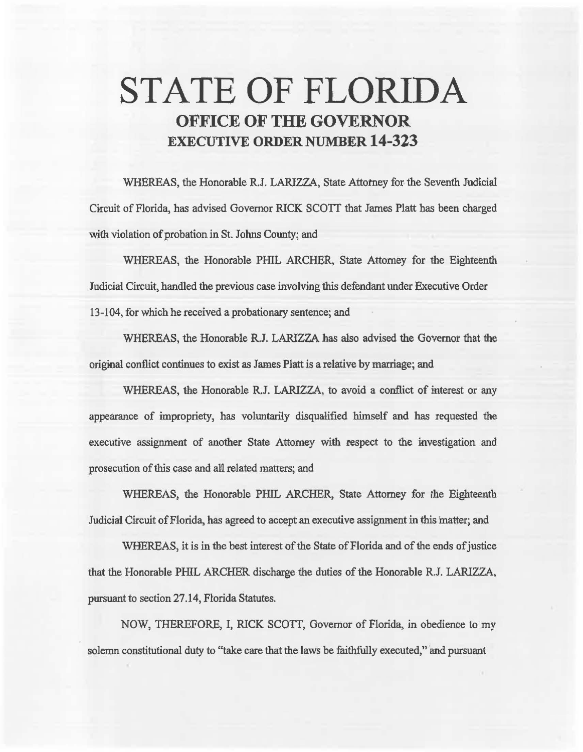# **STATE OF FLORIDA OFFICE OF THE GOVERNOR EXECUTIVE ORDER NUMBER 14-323**

WHEREAS, the Honorable R.J. LARIZZA, State Attorney for the Seventh Judicial Circuit of Florida, has advised Governor RICK SCOTT that James Platt has been charged with violation of probation in St. Johns County; and

WHEREAS, the Honorable PHIL ARCHER, State Attorney for the Eighteenth Judicial Circuit, handled the previous case involving this defendant under Executive Order 13-104, for which he received a probationary sentence; and

WHEREAS, the Honorable R.J. LARIZZA has also advised the Governor that the original conflict continues to exist as James Platt is a relative by marriage; and

WHEREAS, the Honorable R.J. LARIZZA, to avoid a conflict of interest or any appearance of impropriety, has voluntarily disqualified himself and has requested the executive assignment of another State Attorney with respect to the investigation and prosecution of this case and all. related matters; and

WHEREAS, the Honorable PHIL ARCHER, State Attorney for the Eighteenth Judicial Circuit of Florida, has agreed to accept an executive assignment in this matter; and

WHEREAS, it is in the best interest of the State of Florida and of the ends of justice that the Honorable PHIL ARCHER discharge the duties of the Honorable R.J. LARIZZA, pursuant to section 27.14, Florida Statutes.

NOW, THEREFORE, I, RICK SCOTT, Governor of Florida, in obedience to my solemn constitutional duty to "take care that the laws be faithfully executed," and pursuant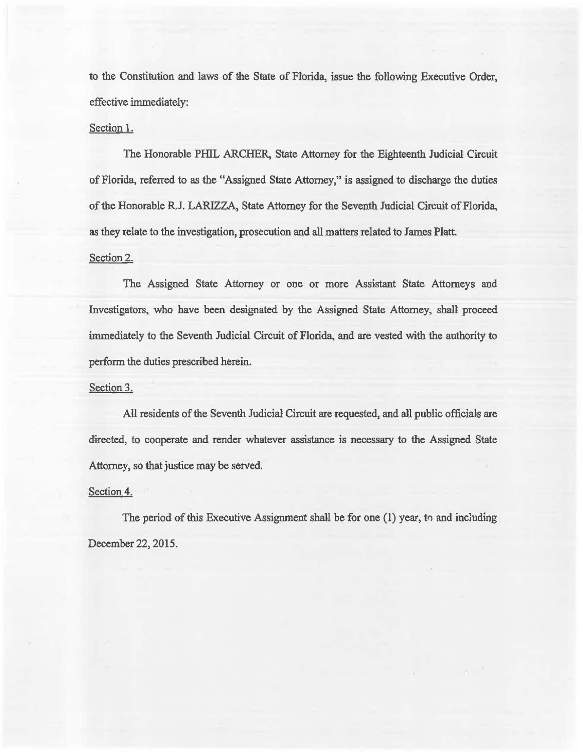to the Constitution and laws of the State of Florida, issue the following Executive Order, effective immediately:

## Section 1.

The Honorable PHIL ARCHER, State Attorney for the Eighteenth Judicial Circuit of Florida, referred to as the "Assigned State Attorney," is assigned to discharge the duties of the Honorable R.J. LARIZZA, State Attorney for the Seventh Judicial Circuit of Florida, as they relate to the investigation, prosecution and all matters related to James Platt.

### Section 2.

The Assigned State Attorney or one or more Assistant State Attorneys and Investigators, who have been designated by the Assigned State Attorney, shall proceed immediately to the Seventh Judicial Circuit of Florida, and are vested with the authority to perform the duties prescribed herein.

#### Section 3.

AU residents of the Seventh Judicial Circuit are requested, and a1l public officials are directed, to cooperate and render whatever assistance is necessary to the Assigned State Attorney, so that justice may be served.

#### Section 4.

The period of this Executive Assignment shall be for one  $(1)$  year, to and including December 22, 2015.